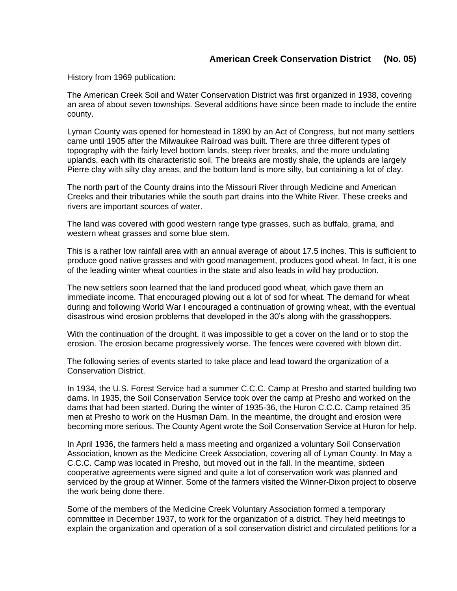History from 1969 publication:

The American Creek Soil and Water Conservation District was first organized in 1938, covering an area of about seven townships. Several additions have since been made to include the entire county.

Lyman County was opened for homestead in 1890 by an Act of Congress, but not many settlers came until 1905 after the Milwaukee Railroad was built. There are three different types of topography with the fairly level bottom lands, steep river breaks, and the more undulating uplands, each with its characteristic soil. The breaks are mostly shale, the uplands are largely Pierre clay with silty clay areas, and the bottom land is more silty, but containing a lot of clay.

The north part of the County drains into the Missouri River through Medicine and American Creeks and their tributaries while the south part drains into the White River. These creeks and rivers are important sources of water.

The land was covered with good western range type grasses, such as buffalo, grama, and western wheat grasses and some blue stem.

This is a rather low rainfall area with an annual average of about 17.5 inches. This is sufficient to produce good native grasses and with good management, produces good wheat. In fact, it is one of the leading winter wheat counties in the state and also leads in wild hay production.

The new settlers soon learned that the land produced good wheat, which gave them an immediate income. That encouraged plowing out a lot of sod for wheat. The demand for wheat during and following World War I encouraged a continuation of growing wheat, with the eventual disastrous wind erosion problems that developed in the 30's along with the grasshoppers.

With the continuation of the drought, it was impossible to get a cover on the land or to stop the erosion. The erosion became progressively worse. The fences were covered with blown dirt.

The following series of events started to take place and lead toward the organization of a Conservation District.

In 1934, the U.S. Forest Service had a summer C.C.C. Camp at Presho and started building two dams. In 1935, the Soil Conservation Service took over the camp at Presho and worked on the dams that had been started. During the winter of 1935-36, the Huron C.C.C. Camp retained 35 men at Presho to work on the Husman Dam. In the meantime, the drought and erosion were becoming more serious. The County Agent wrote the Soil Conservation Service at Huron for help.

In April 1936, the farmers held a mass meeting and organized a voluntary Soil Conservation Association, known as the Medicine Creek Association, covering all of Lyman County. In May a C.C.C. Camp was located in Presho, but moved out in the fall. In the meantime, sixteen cooperative agreements were signed and quite a lot of conservation work was planned and serviced by the group at Winner. Some of the farmers visited the Winner-Dixon project to observe the work being done there.

Some of the members of the Medicine Creek Voluntary Association formed a temporary committee in December 1937, to work for the organization of a district. They held meetings to explain the organization and operation of a soil conservation district and circulated petitions for a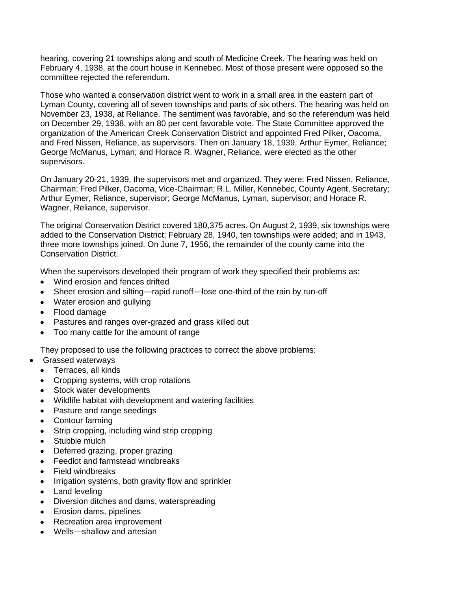hearing, covering 21 townships along and south of Medicine Creek. The hearing was held on February 4, 1938, at the court house in Kennebec. Most of those present were opposed so the committee rejected the referendum.

Those who wanted a conservation district went to work in a small area in the eastern part of Lyman County, covering all of seven townships and parts of six others. The hearing was held on November 23, 1938, at Reliance. The sentiment was favorable, and so the referendum was held on December 29, 1938, with an 80 per cent favorable vote. The State Committee approved the organization of the American Creek Conservation District and appointed Fred Pilker, Oacoma, and Fred Nissen, Reliance, as supervisors. Then on January 18, 1939, Arthur Eymer, Reliance; George McManus, Lyman; and Horace R. Wagner, Reliance, were elected as the other supervisors.

On January 20-21, 1939, the supervisors met and organized. They were: Fred Nissen, Reliance, Chairman; Fred Pilker, Oacoma, Vice-Chairman; R.L. Miller, Kennebec, County Agent, Secretary; Arthur Eymer, Reliance, supervisor; George McManus, Lyman, supervisor; and Horace R. Wagner, Reliance, supervisor.

The original Conservation District covered 180,375 acres. On August 2, 1939, six townships were added to the Conservation District; February 28, 1940, ten townships were added; and in 1943, three more townships joined. On June 7, 1956, the remainder of the county came into the Conservation District.

When the supervisors developed their program of work they specified their problems as:

- Wind erosion and fences drifted
- Sheet erosion and silting—rapid runoff—lose one-third of the rain by run-off
- Water erosion and gullying
- Flood damage
- Pastures and ranges over-grazed and grass killed out
- Too many cattle for the amount of range  $\bullet$

They proposed to use the following practices to correct the above problems:

- Grassed waterways  $\bullet$ 
	- Terraces, all kinds
	- Cropping systems, with crop rotations
	- Stock water developments
	- Wildlife habitat with development and watering facilities
	- Pasture and range seedings
	- Contour farming
	- Strip cropping, including wind strip cropping
	- Stubble mulch
	- Deferred grazing, proper grazing
	- Feedlot and farmstead windbreaks
	- Field windbreaks
	- Irrigation systems, both gravity flow and sprinkler
	- Land leveling
	- Diversion ditches and dams, waterspreading
	- Erosion dams, pipelines
	- Recreation area improvement
	- Wells—shallow and artesian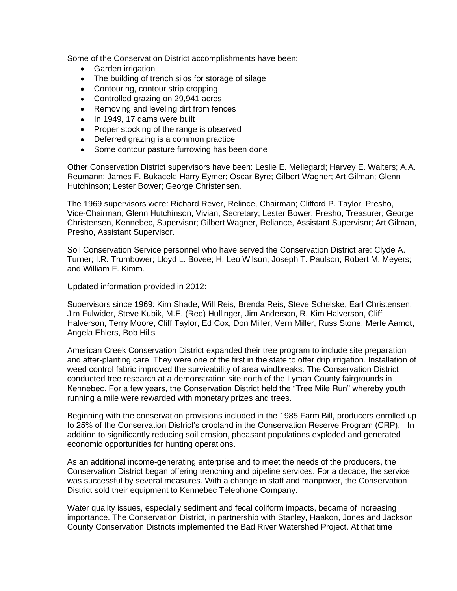Some of the Conservation District accomplishments have been:

- Garden irrigation
- The building of trench silos for storage of silage
- Contouring, contour strip cropping
- Controlled grazing on 29,941 acres
- Removing and leveling dirt from fences
- In 1949, 17 dams were built
- Proper stocking of the range is observed
- Deferred grazing is a common practice
- Some contour pasture furrowing has been done

Other Conservation District supervisors have been: Leslie E. Mellegard; Harvey E. Walters; A.A. Reumann; James F. Bukacek; Harry Eymer; Oscar Byre; Gilbert Wagner; Art Gilman; Glenn Hutchinson; Lester Bower; George Christensen.

The 1969 supervisors were: Richard Rever, Relince, Chairman; Clifford P. Taylor, Presho, Vice-Chairman; Glenn Hutchinson, Vivian, Secretary; Lester Bower, Presho, Treasurer; George Christensen, Kennebec, Supervisor; Gilbert Wagner, Reliance, Assistant Supervisor; Art Gilman, Presho, Assistant Supervisor.

Soil Conservation Service personnel who have served the Conservation District are: Clyde A. Turner; I.R. Trumbower; Lloyd L. Bovee; H. Leo Wilson; Joseph T. Paulson; Robert M. Meyers; and William F. Kimm.

Updated information provided in 2012:

Supervisors since 1969: Kim Shade, Will Reis, Brenda Reis, Steve Schelske, Earl Christensen, Jim Fulwider, Steve Kubik, M.E. (Red) Hullinger, Jim Anderson, R. Kim Halverson, Cliff Halverson, Terry Moore, Cliff Taylor, Ed Cox, Don Miller, Vern Miller, Russ Stone, Merle Aamot, Angela Ehlers, Bob Hills

American Creek Conservation District expanded their tree program to include site preparation and after-planting care. They were one of the first in the state to offer drip irrigation. Installation of weed control fabric improved the survivability of area windbreaks. The Conservation District conducted tree research at a demonstration site north of the Lyman County fairgrounds in Kennebec. For a few years, the Conservation District held the "Tree Mile Run" whereby youth running a mile were rewarded with monetary prizes and trees.

Beginning with the conservation provisions included in the 1985 Farm Bill, producers enrolled up to 25% of the Conservation District's cropland in the Conservation Reserve Program (CRP). In addition to significantly reducing soil erosion, pheasant populations exploded and generated economic opportunities for hunting operations.

As an additional income-generating enterprise and to meet the needs of the producers, the Conservation District began offering trenching and pipeline services. For a decade, the service was successful by several measures. With a change in staff and manpower, the Conservation District sold their equipment to Kennebec Telephone Company.

Water quality issues, especially sediment and fecal coliform impacts, became of increasing importance. The Conservation District, in partnership with Stanley, Haakon, Jones and Jackson County Conservation Districts implemented the Bad River Watershed Project. At that time